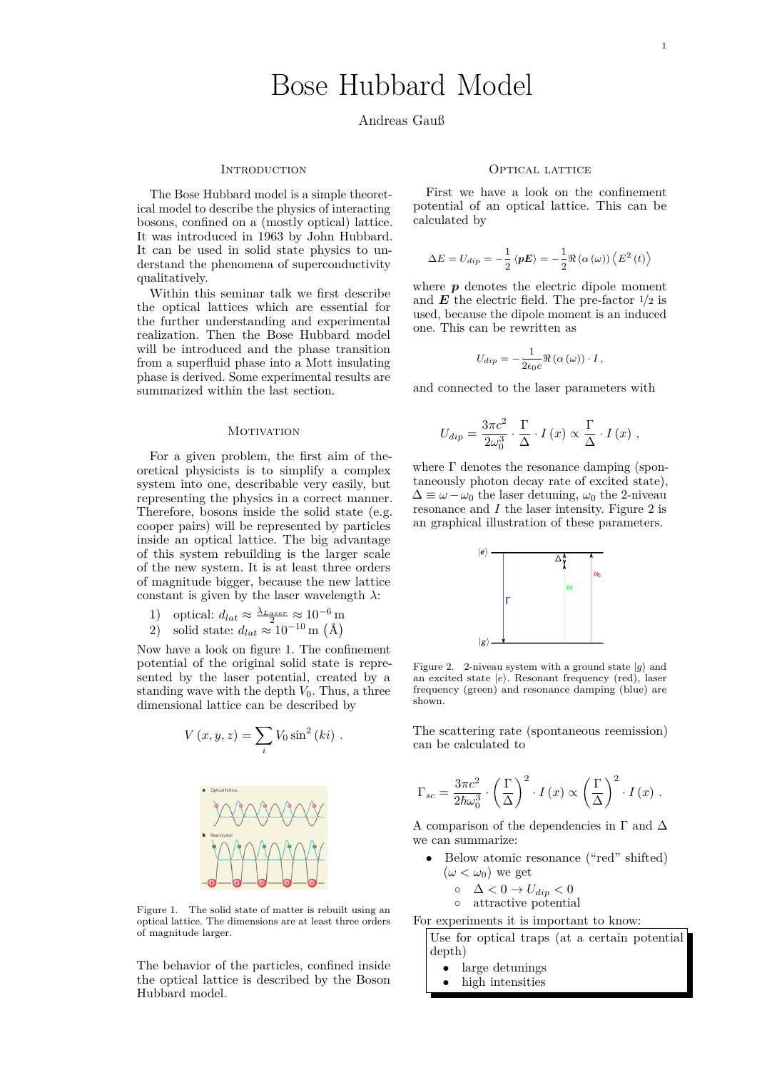1

# Bose Hubbard Model

# Andreas Gauß

#### **INTRODUCTION**

The Bose Hubbard model is a simple theoretical model to describe the physics of interacting bosons, confined on a (mostly optical) lattice. It was introduced in 1963 by John Hubbard. It can be used in solid state physics to understand the phenomena of superconductivity qualitatively.

Within this seminar talk we first describe the optical lattices which are essential for the further understanding and experimental realization. Then the Bose Hubbard model will be introduced and the phase transition from a superfluid phase into a Mott insulating phase is derived. Some experimental results are summarized within the last section.

### **MOTIVATION**

For a given problem, the first aim of theoretical physicists is to simplify a complex system into one, describable very easily, but representing the physics in a correct manner. Therefore, bosons inside the solid state (e.g. cooper pairs) will be represented by particles inside an optical lattice. The big advantage of this system rebuilding is the larger scale of the new system. It is at least three orders of magnitude bigger, because the new lattice constant is given by the laser wavelength  $\lambda$ :

1) optical:  $d_{lat} \approx \frac{\lambda_{Laser}}{2} \approx 10^{-6}$  m 2) solid state:  $d_{lat} \approx 10^{-10}$  m (Å)

Now have a look on figure 1. The confinement potential of the original solid state is represented by the laser potential, created by a standing wave with the depth  $V_0$ . Thus, a three dimensional lattice can be described by

$$
V(x, y, z) = \sum_{i} V_0 \sin^2(ki).
$$



Figure 1. The solid state of matter is rebuilt using an optical lattice. The dimensions are at least three orders of magnitude larger.

The behavior of the particles, confined inside the optical lattice is described by the Boson Hubbard model.

#### OPTICAL LATTICE

First we have a look on the confinement potential of an optical lattice. This can be calculated by

$$
\Delta E = U_{dip} = -\frac{1}{2} \left\langle \mathbf{p} \mathbf{E} \right\rangle = -\frac{1}{2} \Re \left( \alpha \left( \omega \right) \right) \left\langle E^2 \left( t \right) \right\rangle
$$

where **p** denotes the electric dipole moment and  $\boldsymbol{E}$  the electric field. The pre-factor  $\frac{1}{2}$  is used, because the dipole moment is an induced one. This can be rewritten as

$$
U_{dip} = -\frac{1}{2\epsilon_0 c} \Re\left(\alpha\left(\omega\right)\right) \cdot I,
$$

and connected to the laser parameters with

$$
U_{dip} = \frac{3\pi c^2}{2\omega_0^3} \cdot \frac{\Gamma}{\Delta} \cdot I(x) \propto \frac{\Gamma}{\Delta} \cdot I(x) ,
$$

where  $\Gamma$  denotes the resonance damping (spontaneously photon decay rate of excited state),  $\Delta \equiv \omega - \omega_0$  the laser detuning,  $\omega_0$  the 2-niveau resonance and *I* the laser intensity. Figure 2 is an graphical illustration of these parameters.



Figure 2. 2-niveau system with a ground state  $|g\rangle$  and an excited state  $|e\rangle$ . Resonant frequency (red), laser frequency (green) and resonance damping (blue) are shown.

The scattering rate (spontaneous reemission) can be calculated to

$$
\Gamma_{sc} = \frac{3\pi c^2}{2\hbar\omega_0^3} \cdot \left(\frac{\Gamma}{\Delta}\right)^2 \cdot I\left(x\right) \propto \left(\frac{\Gamma}{\Delta}\right)^2 \cdot I\left(x\right) .
$$

A comparison of the dependencies in  $\Gamma$  and  $\Delta$ we can summarize:

- Below atomic resonance ("red" shifted)  $(\omega < \omega_0)$  we get
	- $\circ$   $\Delta < 0 \rightarrow U_{dip} < 0$

$$
\circ \quad \text{attractive potential}\\
$$

For experiments it is important to know:

Use for optical traps (at a certain potential depth)

- large detunings
- high intensities